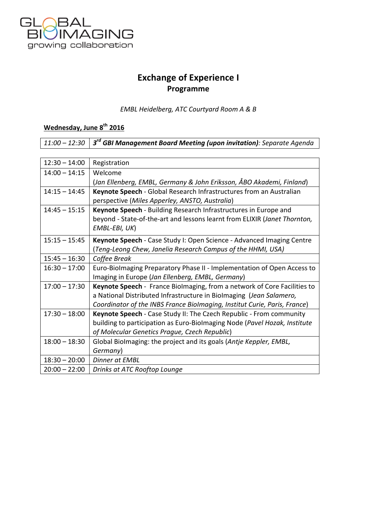

## **Exchange of Experience I Programme**

*EMBL Heidelberg, ATC Courtyard Room A & B*

## **Wednesday, June 8th 2016**

*11:00 – 12:30 3rd GBI Management Board Meeting (upon invitation): Separate Agenda*

| $12:30 - 14:00$ | Registration                                                              |
|-----------------|---------------------------------------------------------------------------|
| $14:00 - 14:15$ | Welcome                                                                   |
|                 | (Jan Ellenberg, EMBL, Germany & John Eriksson, ÅBO Akademi, Finland)      |
| $14:15 - 14:45$ | Keynote Speech - Global Research Infrastructures from an Australian       |
|                 | perspective (Miles Apperley, ANSTO, Australia)                            |
| $14:45 - 15:15$ | Keynote Speech - Building Research Infrastructures in Europe and          |
|                 | beyond - State-of-the-art and lessons learnt from ELIXIR (Janet Thornton, |
|                 | EMBL-EBI, UK)                                                             |
| $15:15 - 15:45$ | Keynote Speech - Case Study I: Open Science - Advanced Imaging Centre     |
|                 | (Teng-Leong Chew, Janelia Research Campus of the HHMI, USA)               |
| $15:45 - 16:30$ | Coffee Break                                                              |
| $16:30 - 17:00$ | Euro-Biolmaging Preparatory Phase II - Implementation of Open Access to   |
|                 | Imaging in Europe (Jan Ellenberg, EMBL, Germany)                          |
| $17:00 - 17:30$ | Keynote Speech - France Biolmaging, from a network of Core Facilities to  |
|                 | a National Distributed Infrastructure in Biolmaging (Jean Salamero,       |
|                 | Coordinator of the INBS France Biolmaging, Institut Curie, Paris, France) |
| $17:30 - 18:00$ | Keynote Speech - Case Study II: The Czech Republic - From community       |
|                 | building to participation as Euro-Biolmaging Node (Pavel Hozak, Institute |
|                 | of Molecular Genetics Prague, Czech Republic)                             |
| $18:00 - 18:30$ | Global Biolmaging: the project and its goals (Antje Keppler, EMBL,        |
|                 | Germany)                                                                  |
| $18:30 - 20:00$ | <b>Dinner at EMBL</b>                                                     |
| $20:00 - 22:00$ | Drinks at ATC Rooftop Lounge                                              |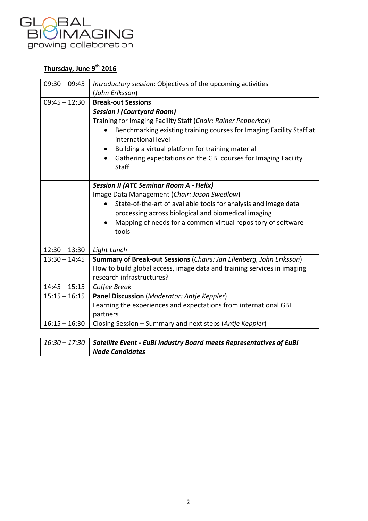

## **Thursday, June 9th 2016**

| $09:30 - 09:45$ | Introductory session: Objectives of the upcoming activities                                 |
|-----------------|---------------------------------------------------------------------------------------------|
|                 | (John Eriksson)                                                                             |
| $09:45 - 12:30$ | <b>Break-out Sessions</b>                                                                   |
|                 | <b>Session I (Courtyard Room)</b>                                                           |
|                 | Training for Imaging Facility Staff (Chair: Rainer Pepperkok)                               |
|                 | Benchmarking existing training courses for Imaging Facility Staff at<br>international level |
|                 | Building a virtual platform for training material                                           |
|                 | Gathering expectations on the GBI courses for Imaging Facility<br>Staff                     |
|                 | <b>Session II (ATC Seminar Room A - Helix)</b>                                              |
|                 | Image Data Management (Chair: Jason Swedlow)                                                |
|                 | State-of-the-art of available tools for analysis and image data<br>$\bullet$                |
|                 | processing across biological and biomedical imaging                                         |
|                 | Mapping of needs for a common virtual repository of software                                |
|                 | tools                                                                                       |
|                 |                                                                                             |
| $12:30 - 13:30$ | Light Lunch                                                                                 |
| $13:30 - 14:45$ | Summary of Break-out Sessions (Chairs: Jan Ellenberg, John Eriksson)                        |
|                 | How to build global access, image data and training services in imaging                     |
|                 | research infrastructures?                                                                   |
| $14:45 - 15:15$ | Coffee Break                                                                                |
| $15:15 - 16:15$ | Panel Discussion (Moderator: Antje Keppler)                                                 |
|                 | Learning the experiences and expectations from international GBI                            |
|                 | partners                                                                                    |
| $16:15 - 16:30$ | Closing Session – Summary and next steps (Antje Keppler)                                    |
|                 |                                                                                             |

| 16:30 - 17:30   Satellite Event - EuBI Industry Board meets Representatives of EuBI |
|-------------------------------------------------------------------------------------|
| <b>Node Candidates</b>                                                              |